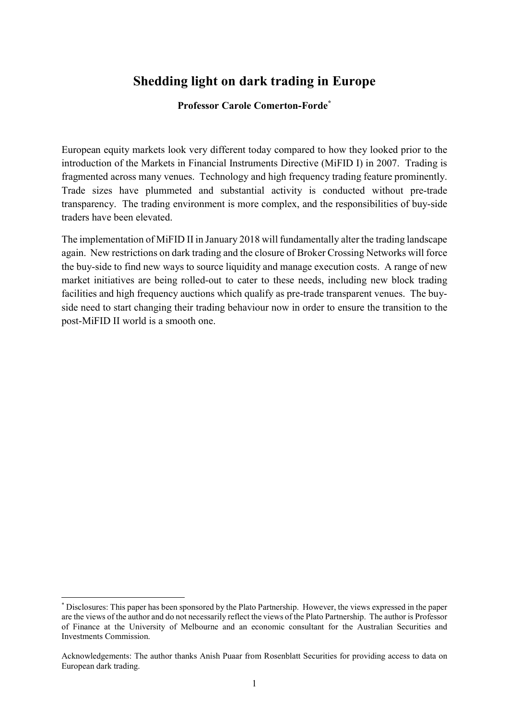## Shedding light on dark trading in Europe

#### Professor Carole Comerton-Forde\*

European equity markets look very different today compared to how they looked prior to the introduction of the Markets in Financial Instruments Directive (MiFID I) in 2007. Trading is fragmented across many venues. Technology and high frequency trading feature prominently. Trade sizes have plummeted and substantial activity is conducted without pre-trade transparency. The trading environment is more complex, and the responsibilities of buy-side traders have been elevated.

The implementation of MiFID II in January 2018 will fundamentally alter the trading landscape again. New restrictions on dark trading and the closure of Broker Crossing Networks will force the buy-side to find new ways to source liquidity and manage execution costs. A range of new market initiatives are being rolled-out to cater to these needs, including new block trading facilities and high frequency auctions which qualify as pre-trade transparent venues. The buyside need to start changing their trading behaviour now in order to ensure the transition to the post-MiFID II world is a smooth one.

-

<sup>\*</sup> Disclosures: This paper has been sponsored by the Plato Partnership. However, the views expressed in the paper are the views of the author and do not necessarily reflect the views of the Plato Partnership. The author is Professor of Finance at the University of Melbourne and an economic consultant for the Australian Securities and Investments Commission.

Acknowledgements: The author thanks Anish Puaar from Rosenblatt Securities for providing access to data on European dark trading.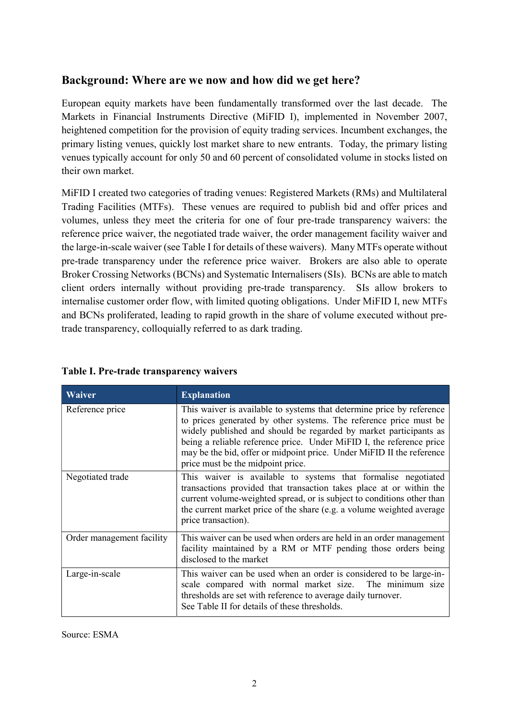## Background: Where are we now and how did we get here?

European equity markets have been fundamentally transformed over the last decade. The Markets in Financial Instruments Directive (MiFID I), implemented in November 2007, heightened competition for the provision of equity trading services. Incumbent exchanges, the primary listing venues, quickly lost market share to new entrants. Today, the primary listing venues typically account for only 50 and 60 percent of consolidated volume in stocks listed on their own market.

MiFID I created two categories of trading venues: Registered Markets (RMs) and Multilateral Trading Facilities (MTFs). These venues are required to publish bid and offer prices and volumes, unless they meet the criteria for one of four pre-trade transparency waivers: the reference price waiver, the negotiated trade waiver, the order management facility waiver and the large-in-scale waiver (see Table I for details of these waivers). Many MTFs operate without pre-trade transparency under the reference price waiver. Brokers are also able to operate Broker Crossing Networks (BCNs) and Systematic Internalisers (SIs). BCNs are able to match client orders internally without providing pre-trade transparency. SIs allow brokers to internalise customer order flow, with limited quoting obligations. Under MiFID I, new MTFs and BCNs proliferated, leading to rapid growth in the share of volume executed without pretrade transparency, colloquially referred to as dark trading.

| Waiver                    | <b>Explanation</b>                                                                                                                                                                                                                                                                                                                                                                                    |
|---------------------------|-------------------------------------------------------------------------------------------------------------------------------------------------------------------------------------------------------------------------------------------------------------------------------------------------------------------------------------------------------------------------------------------------------|
| Reference price           | This waiver is available to systems that determine price by reference<br>to prices generated by other systems. The reference price must be<br>widely published and should be regarded by market participants as<br>being a reliable reference price. Under MiFID I, the reference price<br>may be the bid, offer or midpoint price. Under MiFID II the reference<br>price must be the midpoint price. |
| Negotiated trade          | This waiver is available to systems that formalise negotiated<br>transactions provided that transaction takes place at or within the<br>current volume-weighted spread, or is subject to conditions other than<br>the current market price of the share (e.g. a volume weighted average<br>price transaction).                                                                                        |
| Order management facility | This waiver can be used when orders are held in an order management<br>facility maintained by a RM or MTF pending those orders being<br>disclosed to the market                                                                                                                                                                                                                                       |
| Large-in-scale            | This waiver can be used when an order is considered to be large-in-<br>scale compared with normal market size. The minimum size<br>thresholds are set with reference to average daily turnover.<br>See Table II for details of these thresholds.                                                                                                                                                      |

Table I. Pre-trade transparency waivers

Source: ESMA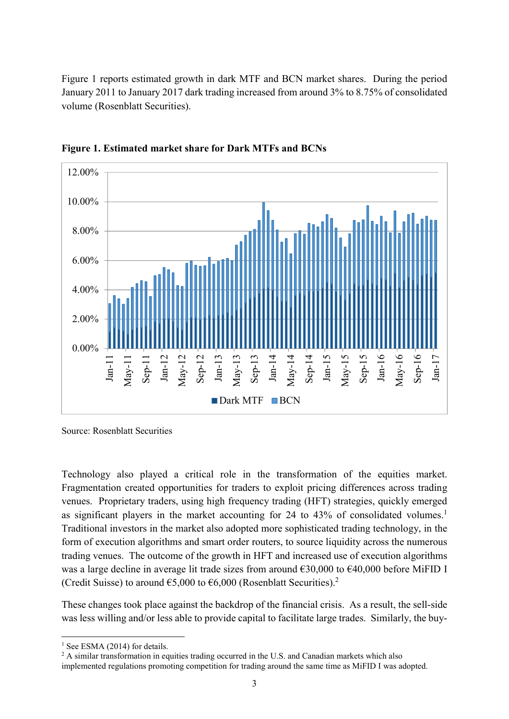Figure 1 reports estimated growth in dark MTF and BCN market shares. During the period January 2011 to January 2017 dark trading increased from around 3% to 8.75% of consolidated volume (Rosenblatt Securities).



Figure 1. Estimated market share for Dark MTFs and BCNs

Source: Rosenblatt Securities

Technology also played a critical role in the transformation of the equities market. Fragmentation created opportunities for traders to exploit pricing differences across trading venues. Proprietary traders, using high frequency trading (HFT) strategies, quickly emerged as significant players in the market accounting for 24 to 43% of consolidated volumes.<sup>1</sup> Traditional investors in the market also adopted more sophisticated trading technology, in the form of execution algorithms and smart order routers, to source liquidity across the numerous trading venues. The outcome of the growth in HFT and increased use of execution algorithms was a large decline in average lit trade sizes from around €30,000 to €40,000 before MiFID I (Credit Suisse) to around  $65,000$  to  $6,000$  (Rosenblatt Securities).<sup>2</sup>

These changes took place against the backdrop of the financial crisis. As a result, the sell-side was less willing and/or less able to provide capital to facilitate large trades. Similarly, the buy-

<sup>-</sup> $<sup>1</sup>$  See ESMA (2014) for details.</sup>

 $2$  A similar transformation in equities trading occurred in the U.S. and Canadian markets which also implemented regulations promoting competition for trading around the same time as MiFID I was adopted.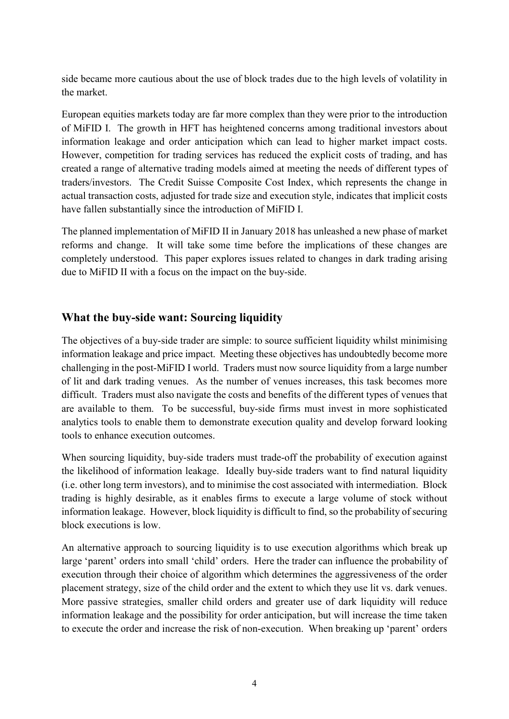side became more cautious about the use of block trades due to the high levels of volatility in the market.

European equities markets today are far more complex than they were prior to the introduction of MiFID I. The growth in HFT has heightened concerns among traditional investors about information leakage and order anticipation which can lead to higher market impact costs. However, competition for trading services has reduced the explicit costs of trading, and has created a range of alternative trading models aimed at meeting the needs of different types of traders/investors. The Credit Suisse Composite Cost Index, which represents the change in actual transaction costs, adjusted for trade size and execution style, indicates that implicit costs have fallen substantially since the introduction of MiFID I.

The planned implementation of MiFID II in January 2018 has unleashed a new phase of market reforms and change. It will take some time before the implications of these changes are completely understood. This paper explores issues related to changes in dark trading arising due to MiFID II with a focus on the impact on the buy-side.

## What the buy-side want: Sourcing liquidity

The objectives of a buy-side trader are simple: to source sufficient liquidity whilst minimising information leakage and price impact. Meeting these objectives has undoubtedly become more challenging in the post-MiFID I world. Traders must now source liquidity from a large number of lit and dark trading venues. As the number of venues increases, this task becomes more difficult. Traders must also navigate the costs and benefits of the different types of venues that are available to them. To be successful, buy-side firms must invest in more sophisticated analytics tools to enable them to demonstrate execution quality and develop forward looking tools to enhance execution outcomes.

When sourcing liquidity, buy-side traders must trade-off the probability of execution against the likelihood of information leakage. Ideally buy-side traders want to find natural liquidity (i.e. other long term investors), and to minimise the cost associated with intermediation. Block trading is highly desirable, as it enables firms to execute a large volume of stock without information leakage. However, block liquidity is difficult to find, so the probability of securing block executions is low.

An alternative approach to sourcing liquidity is to use execution algorithms which break up large 'parent' orders into small 'child' orders. Here the trader can influence the probability of execution through their choice of algorithm which determines the aggressiveness of the order placement strategy, size of the child order and the extent to which they use lit vs. dark venues. More passive strategies, smaller child orders and greater use of dark liquidity will reduce information leakage and the possibility for order anticipation, but will increase the time taken to execute the order and increase the risk of non-execution. When breaking up 'parent' orders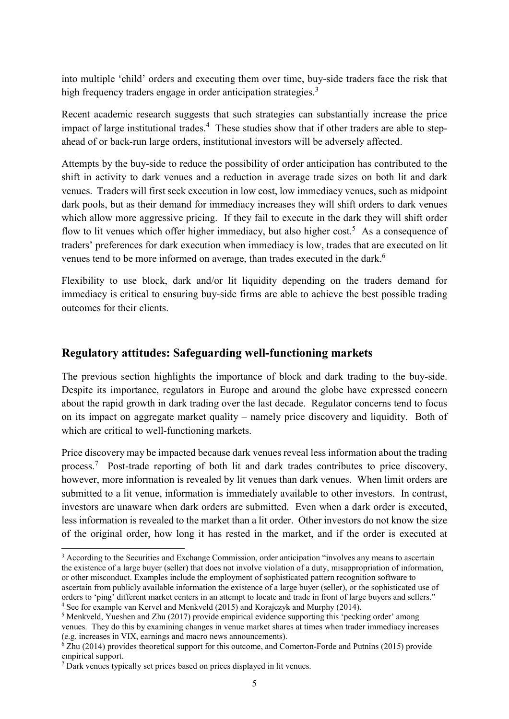into multiple 'child' orders and executing them over time, buy-side traders face the risk that high frequency traders engage in order anticipation strategies.<sup>3</sup>

Recent academic research suggests that such strategies can substantially increase the price impact of large institutional trades.<sup>4</sup> These studies show that if other traders are able to stepahead of or back-run large orders, institutional investors will be adversely affected.

Attempts by the buy-side to reduce the possibility of order anticipation has contributed to the shift in activity to dark venues and a reduction in average trade sizes on both lit and dark venues. Traders will first seek execution in low cost, low immediacy venues, such as midpoint dark pools, but as their demand for immediacy increases they will shift orders to dark venues which allow more aggressive pricing. If they fail to execute in the dark they will shift order flow to lit venues which offer higher immediacy, but also higher cost.<sup>5</sup> As a consequence of traders' preferences for dark execution when immediacy is low, trades that are executed on lit venues tend to be more informed on average, than trades executed in the dark.<sup>6</sup>

Flexibility to use block, dark and/or lit liquidity depending on the traders demand for immediacy is critical to ensuring buy-side firms are able to achieve the best possible trading outcomes for their clients.

## Regulatory attitudes: Safeguarding well-functioning markets

The previous section highlights the importance of block and dark trading to the buy-side. Despite its importance, regulators in Europe and around the globe have expressed concern about the rapid growth in dark trading over the last decade. Regulator concerns tend to focus on its impact on aggregate market quality – namely price discovery and liquidity. Both of which are critical to well-functioning markets.

Price discovery may be impacted because dark venues reveal less information about the trading process.<sup>7</sup> Post-trade reporting of both lit and dark trades contributes to price discovery, however, more information is revealed by lit venues than dark venues. When limit orders are submitted to a lit venue, information is immediately available to other investors. In contrast, investors are unaware when dark orders are submitted. Even when a dark order is executed, less information is revealed to the market than a lit order. Other investors do not know the size of the original order, how long it has rested in the market, and if the order is executed at

-

<sup>&</sup>lt;sup>3</sup> According to the Securities and Exchange Commission, order anticipation "involves any means to ascertain the existence of a large buyer (seller) that does not involve violation of a duty, misappropriation of information, or other misconduct. Examples include the employment of sophisticated pattern recognition software to ascertain from publicly available information the existence of a large buyer (seller), or the sophisticated use of orders to 'ping' different market centers in an attempt to locate and trade in front of large buyers and sellers."

<sup>&</sup>lt;sup>4</sup> See for example van Kervel and Menkveld (2015) and Korajczyk and Murphy (2014).

<sup>&</sup>lt;sup>5</sup> Menkveld, Yueshen and Zhu (2017) provide empirical evidence supporting this 'pecking order' among venues. They do this by examining changes in venue market shares at times when trader immediacy increases (e.g. increases in VIX, earnings and macro news announcements).

<sup>6</sup> Zhu (2014) provides theoretical support for this outcome, and Comerton-Forde and Putnins (2015) provide empirical support.

<sup>7</sup> Dark venues typically set prices based on prices displayed in lit venues.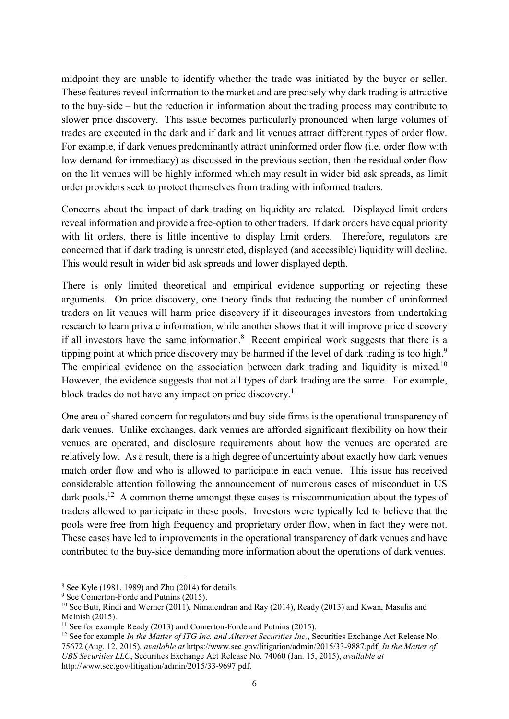midpoint they are unable to identify whether the trade was initiated by the buyer or seller. These features reveal information to the market and are precisely why dark trading is attractive to the buy-side – but the reduction in information about the trading process may contribute to slower price discovery. This issue becomes particularly pronounced when large volumes of trades are executed in the dark and if dark and lit venues attract different types of order flow. For example, if dark venues predominantly attract uninformed order flow (i.e. order flow with low demand for immediacy) as discussed in the previous section, then the residual order flow on the lit venues will be highly informed which may result in wider bid ask spreads, as limit order providers seek to protect themselves from trading with informed traders.

Concerns about the impact of dark trading on liquidity are related. Displayed limit orders reveal information and provide a free-option to other traders. If dark orders have equal priority with lit orders, there is little incentive to display limit orders. Therefore, regulators are concerned that if dark trading is unrestricted, displayed (and accessible) liquidity will decline. This would result in wider bid ask spreads and lower displayed depth.

There is only limited theoretical and empirical evidence supporting or rejecting these arguments. On price discovery, one theory finds that reducing the number of uninformed traders on lit venues will harm price discovery if it discourages investors from undertaking research to learn private information, while another shows that it will improve price discovery if all investors have the same information. $8$  Recent empirical work suggests that there is a tipping point at which price discovery may be harmed if the level of dark trading is too high.<sup>9</sup> The empirical evidence on the association between dark trading and liquidity is mixed.<sup>10</sup> However, the evidence suggests that not all types of dark trading are the same. For example, block trades do not have any impact on price discovery.<sup>11</sup>

One area of shared concern for regulators and buy-side firms is the operational transparency of dark venues. Unlike exchanges, dark venues are afforded significant flexibility on how their venues are operated, and disclosure requirements about how the venues are operated are relatively low. As a result, there is a high degree of uncertainty about exactly how dark venues match order flow and who is allowed to participate in each venue. This issue has received considerable attention following the announcement of numerous cases of misconduct in US dark pools.<sup>12</sup> A common theme amongst these cases is miscommunication about the types of traders allowed to participate in these pools. Investors were typically led to believe that the pools were free from high frequency and proprietary order flow, when in fact they were not. These cases have led to improvements in the operational transparency of dark venues and have contributed to the buy-side demanding more information about the operations of dark venues.

-

<sup>8</sup> See Kyle (1981, 1989) and Zhu (2014) for details.

<sup>&</sup>lt;sup>9</sup> See Comerton-Forde and Putnins (2015).

 $10$  See Buti, Rindi and Werner (2011), Nimalendran and Ray (2014), Ready (2013) and Kwan, Masulis and McInish (2015).

<sup>&</sup>lt;sup>11</sup> See for example Ready (2013) and Comerton-Forde and Putnins (2015).

 $12$  See for example In the Matter of ITG Inc. and Alternet Securities Inc., Securities Exchange Act Release No. 75672 (Aug. 12, 2015), available at https://www.sec.gov/litigation/admin/2015/33-9887.pdf, In the Matter of UBS Securities LLC, Securities Exchange Act Release No. 74060 (Jan. 15, 2015), available at http://www.sec.gov/litigation/admin/2015/33-9697.pdf.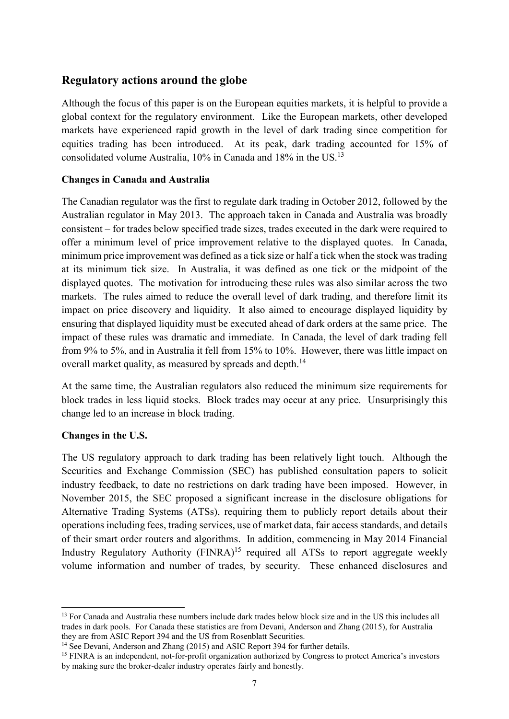## Regulatory actions around the globe

Although the focus of this paper is on the European equities markets, it is helpful to provide a global context for the regulatory environment. Like the European markets, other developed markets have experienced rapid growth in the level of dark trading since competition for equities trading has been introduced. At its peak, dark trading accounted for 15% of consolidated volume Australia, 10% in Canada and 18% in the US.<sup>13</sup>

#### Changes in Canada and Australia

The Canadian regulator was the first to regulate dark trading in October 2012, followed by the Australian regulator in May 2013. The approach taken in Canada and Australia was broadly consistent – for trades below specified trade sizes, trades executed in the dark were required to offer a minimum level of price improvement relative to the displayed quotes. In Canada, minimum price improvement was defined as a tick size or half a tick when the stock was trading at its minimum tick size. In Australia, it was defined as one tick or the midpoint of the displayed quotes. The motivation for introducing these rules was also similar across the two markets. The rules aimed to reduce the overall level of dark trading, and therefore limit its impact on price discovery and liquidity. It also aimed to encourage displayed liquidity by ensuring that displayed liquidity must be executed ahead of dark orders at the same price. The impact of these rules was dramatic and immediate. In Canada, the level of dark trading fell from 9% to 5%, and in Australia it fell from 15% to 10%. However, there was little impact on overall market quality, as measured by spreads and depth.<sup>14</sup>

At the same time, the Australian regulators also reduced the minimum size requirements for block trades in less liquid stocks. Block trades may occur at any price. Unsurprisingly this change led to an increase in block trading.

#### Changes in the U.S.

-

The US regulatory approach to dark trading has been relatively light touch. Although the Securities and Exchange Commission (SEC) has published consultation papers to solicit industry feedback, to date no restrictions on dark trading have been imposed. However, in November 2015, the SEC proposed a significant increase in the disclosure obligations for Alternative Trading Systems (ATSs), requiring them to publicly report details about their operations including fees, trading services, use of market data, fair access standards, and details of their smart order routers and algorithms. In addition, commencing in May 2014 Financial Industry Regulatory Authority  $(FINRA)^{15}$  required all ATSs to report aggregate weekly volume information and number of trades, by security. These enhanced disclosures and

<sup>&</sup>lt;sup>13</sup> For Canada and Australia these numbers include dark trades below block size and in the US this includes all trades in dark pools. For Canada these statistics are from Devani, Anderson and Zhang (2015), for Australia they are from ASIC Report 394 and the US from Rosenblatt Securities.

<sup>&</sup>lt;sup>14</sup> See Devani, Anderson and Zhang (2015) and ASIC Report 394 for further details.

<sup>&</sup>lt;sup>15</sup> FINRA is an independent, not-for-profit organization authorized by Congress to protect America's investors by making sure the broker-dealer industry operates fairly and honestly.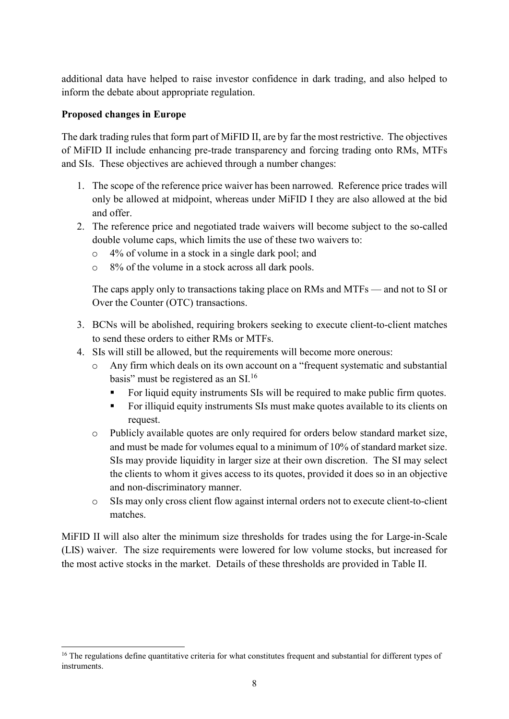additional data have helped to raise investor confidence in dark trading, and also helped to inform the debate about appropriate regulation.

#### Proposed changes in Europe

The dark trading rules that form part of MiFID II, are by far the most restrictive. The objectives of MiFID II include enhancing pre-trade transparency and forcing trading onto RMs, MTFs and SIs. These objectives are achieved through a number changes:

- 1. The scope of the reference price waiver has been narrowed. Reference price trades will only be allowed at midpoint, whereas under MiFID I they are also allowed at the bid and offer.
- 2. The reference price and negotiated trade waivers will become subject to the so-called double volume caps, which limits the use of these two waivers to:
	- o 4% of volume in a stock in a single dark pool; and
	- o 8% of the volume in a stock across all dark pools.

The caps apply only to transactions taking place on RMs and MTFs — and not to SI or Over the Counter (OTC) transactions.

- 3. BCNs will be abolished, requiring brokers seeking to execute client-to-client matches to send these orders to either RMs or MTFs.
- 4. SIs will still be allowed, but the requirements will become more onerous:
	- o Any firm which deals on its own account on a "frequent systematic and substantial basis" must be registered as an  $SI^{16}$ 
		- For liquid equity instruments SIs will be required to make public firm quotes.
		- For illiquid equity instruments SIs must make quotes available to its clients on request.
	- o Publicly available quotes are only required for orders below standard market size, and must be made for volumes equal to a minimum of 10% of standard market size. SIs may provide liquidity in larger size at their own discretion. The SI may select the clients to whom it gives access to its quotes, provided it does so in an objective and non-discriminatory manner.
	- o SIs may only cross client flow against internal orders not to execute client-to-client matches.

MiFID II will also alter the minimum size thresholds for trades using the for Large-in-Scale (LIS) waiver. The size requirements were lowered for low volume stocks, but increased for the most active stocks in the market. Details of these thresholds are provided in Table II.

<sup>-</sup><sup>16</sup> The regulations define quantitative criteria for what constitutes frequent and substantial for different types of instruments.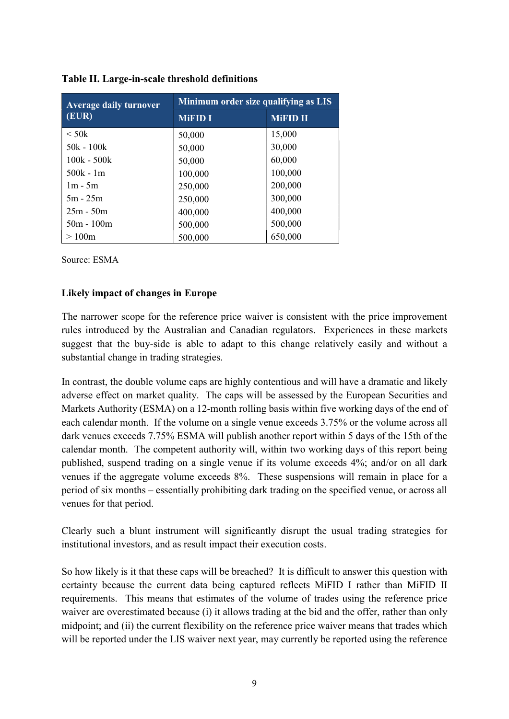| <b>Average daily turnover</b> | Minimum order size qualifying as LIS |                 |  |  |
|-------------------------------|--------------------------------------|-----------------|--|--|
| (EUR)                         | <b>MiFID I</b>                       | <b>MiFID II</b> |  |  |
| $\rm < 50k$                   | 50,000                               | 15,000          |  |  |
| $50k - 100k$                  | 50,000                               | 30,000          |  |  |
| $100k - 500k$                 | 50,000                               | 60,000          |  |  |
| $500k - 1m$                   | 100,000                              | 100,000         |  |  |
| $1m - 5m$                     | 250,000                              | 200,000         |  |  |
| $5m - 25m$                    | 250,000                              | 300,000         |  |  |
| $25m - 50m$                   | 400,000                              | 400,000         |  |  |
| $50m - 100m$                  | 500,000                              | 500,000         |  |  |
| >100m                         | 500,000                              | 650,000         |  |  |

#### Table II. Large-in-scale threshold definitions

Source: ESMA

#### Likely impact of changes in Europe

The narrower scope for the reference price waiver is consistent with the price improvement rules introduced by the Australian and Canadian regulators. Experiences in these markets suggest that the buy-side is able to adapt to this change relatively easily and without a substantial change in trading strategies.

In contrast, the double volume caps are highly contentious and will have a dramatic and likely adverse effect on market quality. The caps will be assessed by the European Securities and Markets Authority (ESMA) on a 12-month rolling basis within five working days of the end of each calendar month. If the volume on a single venue exceeds 3.75% or the volume across all dark venues exceeds 7.75% ESMA will publish another report within 5 days of the 15th of the calendar month. The competent authority will, within two working days of this report being published, suspend trading on a single venue if its volume exceeds 4%; and/or on all dark venues if the aggregate volume exceeds 8%. These suspensions will remain in place for a period of six months – essentially prohibiting dark trading on the specified venue, or across all venues for that period.

Clearly such a blunt instrument will significantly disrupt the usual trading strategies for institutional investors, and as result impact their execution costs.

So how likely is it that these caps will be breached? It is difficult to answer this question with certainty because the current data being captured reflects MiFID I rather than MiFID II requirements. This means that estimates of the volume of trades using the reference price waiver are overestimated because (i) it allows trading at the bid and the offer, rather than only midpoint; and (ii) the current flexibility on the reference price waiver means that trades which will be reported under the LIS waiver next year, may currently be reported using the reference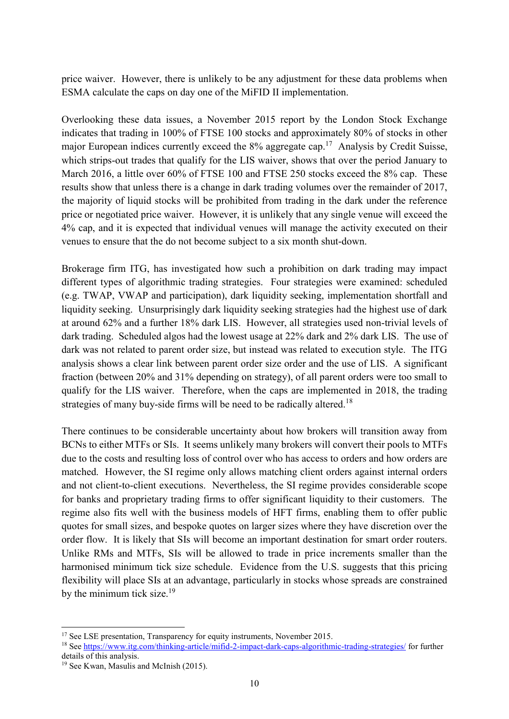price waiver. However, there is unlikely to be any adjustment for these data problems when ESMA calculate the caps on day one of the MiFID II implementation.

Overlooking these data issues, a November 2015 report by the London Stock Exchange indicates that trading in 100% of FTSE 100 stocks and approximately 80% of stocks in other major European indices currently exceed the  $8\%$  aggregate cap.<sup>17</sup> Analysis by Credit Suisse, which strips-out trades that qualify for the LIS waiver, shows that over the period January to March 2016, a little over 60% of FTSE 100 and FTSE 250 stocks exceed the 8% cap. These results show that unless there is a change in dark trading volumes over the remainder of 2017, the majority of liquid stocks will be prohibited from trading in the dark under the reference price or negotiated price waiver. However, it is unlikely that any single venue will exceed the 4% cap, and it is expected that individual venues will manage the activity executed on their venues to ensure that the do not become subject to a six month shut-down.

Brokerage firm ITG, has investigated how such a prohibition on dark trading may impact different types of algorithmic trading strategies. Four strategies were examined: scheduled (e.g. TWAP, VWAP and participation), dark liquidity seeking, implementation shortfall and liquidity seeking. Unsurprisingly dark liquidity seeking strategies had the highest use of dark at around 62% and a further 18% dark LIS. However, all strategies used non-trivial levels of dark trading. Scheduled algos had the lowest usage at 22% dark and 2% dark LIS. The use of dark was not related to parent order size, but instead was related to execution style. The ITG analysis shows a clear link between parent order size order and the use of LIS. A significant fraction (between 20% and 31% depending on strategy), of all parent orders were too small to qualify for the LIS waiver. Therefore, when the caps are implemented in 2018, the trading strategies of many buy-side firms will be need to be radically altered.<sup>18</sup>

There continues to be considerable uncertainty about how brokers will transition away from BCNs to either MTFs or SIs. It seems unlikely many brokers will convert their pools to MTFs due to the costs and resulting loss of control over who has access to orders and how orders are matched. However, the SI regime only allows matching client orders against internal orders and not client-to-client executions. Nevertheless, the SI regime provides considerable scope for banks and proprietary trading firms to offer significant liquidity to their customers. The regime also fits well with the business models of HFT firms, enabling them to offer public quotes for small sizes, and bespoke quotes on larger sizes where they have discretion over the order flow. It is likely that SIs will become an important destination for smart order routers. Unlike RMs and MTFs, SIs will be allowed to trade in price increments smaller than the harmonised minimum tick size schedule. Evidence from the U.S. suggests that this pricing flexibility will place SIs at an advantage, particularly in stocks whose spreads are constrained by the minimum tick size.<sup>19</sup>

<sup>-</sup><sup>17</sup> See LSE presentation, Transparency for equity instruments, November 2015.

<sup>18</sup> See https://www.itg.com/thinking-article/mifid-2-impact-dark-caps-algorithmic-trading-strategies/ for further details of this analysis.

<sup>&</sup>lt;sup>19</sup> See Kwan, Masulis and McInish (2015).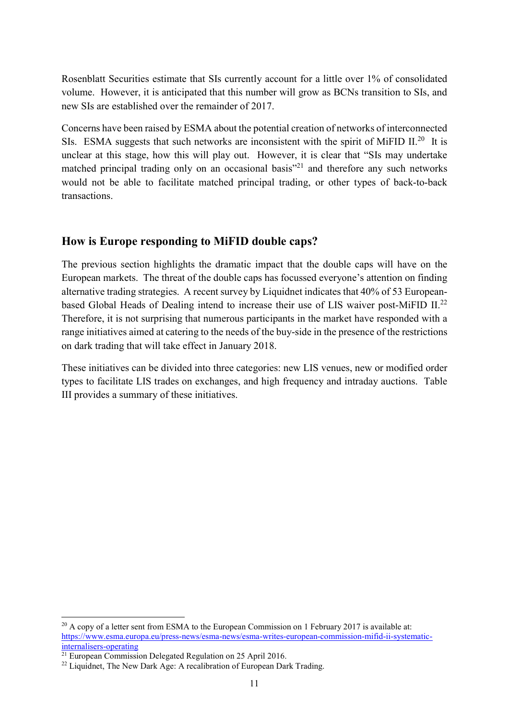Rosenblatt Securities estimate that SIs currently account for a little over 1% of consolidated volume. However, it is anticipated that this number will grow as BCNs transition to SIs, and new SIs are established over the remainder of 2017.

Concerns have been raised by ESMA about the potential creation of networks of interconnected SIs. ESMA suggests that such networks are inconsistent with the spirit of MiFID II.<sup>20</sup> It is unclear at this stage, how this will play out. However, it is clear that "SIs may undertake matched principal trading only on an occasional basis<sup>"21</sup> and therefore any such networks would not be able to facilitate matched principal trading, or other types of back-to-back transactions.

## How is Europe responding to MiFID double caps?

The previous section highlights the dramatic impact that the double caps will have on the European markets. The threat of the double caps has focussed everyone's attention on finding alternative trading strategies. A recent survey by Liquidnet indicates that 40% of 53 Europeanbased Global Heads of Dealing intend to increase their use of LIS waiver post-MiFID II.<sup>22</sup> Therefore, it is not surprising that numerous participants in the market have responded with a range initiatives aimed at catering to the needs of the buy-side in the presence of the restrictions on dark trading that will take effect in January 2018.

These initiatives can be divided into three categories: new LIS venues, new or modified order types to facilitate LIS trades on exchanges, and high frequency and intraday auctions. Table III provides a summary of these initiatives.

<sup>-</sup> $20$  A copy of a letter sent from ESMA to the European Commission on 1 February 2017 is available at: https://www.esma.europa.eu/press-news/esma-news/esma-writes-european-commission-mifid-ii-systematicinternalisers-operating

 $21$  European Commission Delegated Regulation on 25 April 2016.

 $22$  Liquidnet, The New Dark Age: A recalibration of European Dark Trading.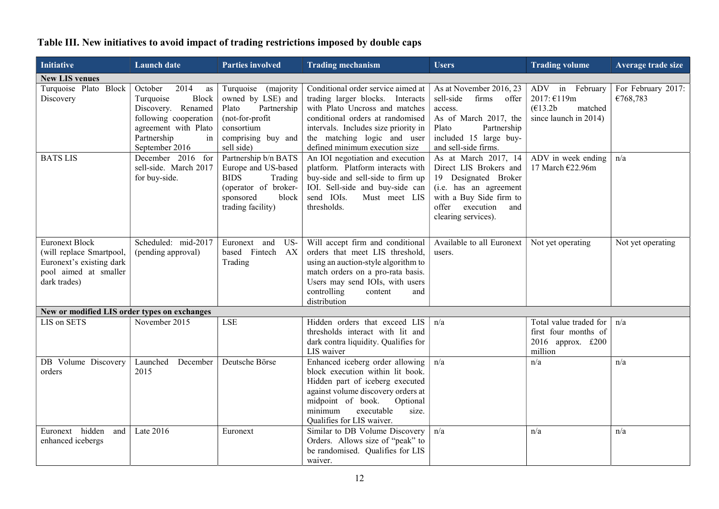| Initiative                                                                                                             | <b>Launch</b> date                                                                                                                                        | <b>Parties involved</b>                                                                                                                  | <b>Trading mechanism</b>                                                                                                                                                                                                                              | <b>Users</b>                                                                                                                                                                 | <b>Trading volume</b>                                                            | Average trade size             |
|------------------------------------------------------------------------------------------------------------------------|-----------------------------------------------------------------------------------------------------------------------------------------------------------|------------------------------------------------------------------------------------------------------------------------------------------|-------------------------------------------------------------------------------------------------------------------------------------------------------------------------------------------------------------------------------------------------------|------------------------------------------------------------------------------------------------------------------------------------------------------------------------------|----------------------------------------------------------------------------------|--------------------------------|
| <b>New LIS venues</b>                                                                                                  |                                                                                                                                                           |                                                                                                                                          |                                                                                                                                                                                                                                                       |                                                                                                                                                                              |                                                                                  |                                |
| Turquoise Plato Block<br>Discovery                                                                                     | October<br>2014<br>as<br>Block<br>Turquoise<br>Discovery. Renamed<br>following cooperation<br>agreement with Plato<br>Partnership<br>in<br>September 2016 | Turquoise (majority<br>owned by LSE) and<br>Partnership<br>Plato<br>(not-for-profit<br>consortium<br>comprising buy and<br>sell side)    | Conditional order service aimed at<br>trading larger blocks. Interacts<br>with Plato Uncross and matches<br>conditional orders at randomised<br>intervals. Includes size priority in<br>the matching logic and user<br>defined minimum execution size | As at November 2016, 23<br>sell-side<br>firms offer<br>access.<br>As of March 2017, the<br>Plato<br>Partnership<br>included 15 large buy-<br>and sell-side firms.            | ADV in February<br>2017: €119m<br>(E13.2b)<br>matched<br>since launch in 2014)   | For February 2017:<br>€768,783 |
| <b>BATS LIS</b>                                                                                                        | December 2016 for<br>sell-side. March 2017<br>for buy-side.                                                                                               | Partnership b/n BATS<br>Europe and US-based<br><b>BIDS</b><br>Trading<br>(operator of broker-<br>sponsored<br>block<br>trading facility) | An IOI negotiation and execution<br>platform. Platform interacts with<br>buy-side and sell-side to firm up<br>IOI. Sell-side and buy-side can<br>send IOIs.<br>Must meet LIS<br>thresholds.                                                           | As at March 2017, 14<br>Direct LIS Brokers and<br>19 Designated Broker<br>(i.e. has an agreement<br>with a Buy Side firm to<br>offer execution<br>and<br>clearing services). | ADV in week ending<br>17 March €22.96m                                           | n/a                            |
| <b>Euronext Block</b><br>(will replace Smartpool,<br>Euronext's existing dark<br>pool aimed at smaller<br>dark trades) | Scheduled: mid-2017<br>(pending approval)                                                                                                                 | US-<br>Euronext<br>and<br>based Fintech AX<br>Trading                                                                                    | Will accept firm and conditional<br>orders that meet LIS threshold,<br>using an auction-style algorithm to<br>match orders on a pro-rata basis.<br>Users may send IOIs, with users<br>controlling<br>content<br>and<br>distribution                   | Available to all Euronext<br>users.                                                                                                                                          | Not yet operating                                                                | Not yet operating              |
| New or modified LIS order types on exchanges                                                                           |                                                                                                                                                           |                                                                                                                                          |                                                                                                                                                                                                                                                       |                                                                                                                                                                              |                                                                                  |                                |
| LIS on SETS                                                                                                            | November 2015                                                                                                                                             | <b>LSE</b>                                                                                                                               | Hidden orders that exceed LIS<br>thresholds interact with lit and<br>dark contra liquidity. Qualifies for<br>LIS waiver                                                                                                                               | n/a                                                                                                                                                                          | Total value traded for<br>first four months of<br>2016 approx. $£200$<br>million | n/a                            |
| DB Volume Discovery<br>orders                                                                                          | Launched<br>December<br>2015                                                                                                                              | Deutsche Börse                                                                                                                           | Enhanced iceberg order allowing<br>block execution within lit book.<br>Hidden part of iceberg executed<br>against volume discovery orders at<br>midpoint of book.<br>Optional<br>executable<br>minimum<br>size.<br>Qualifies for LIS waiver.          | n/a                                                                                                                                                                          | n/a                                                                              | n/a                            |
| Euronext hidden<br>and<br>enhanced icebergs                                                                            | Late 2016                                                                                                                                                 | Euronext                                                                                                                                 | Similar to DB Volume Discovery<br>Orders. Allows size of "peak" to<br>be randomised. Qualifies for LIS<br>waiver.                                                                                                                                     | n/a                                                                                                                                                                          | n/a                                                                              | n/a                            |

# Table III. New initiatives to avoid impact of trading restrictions imposed by double caps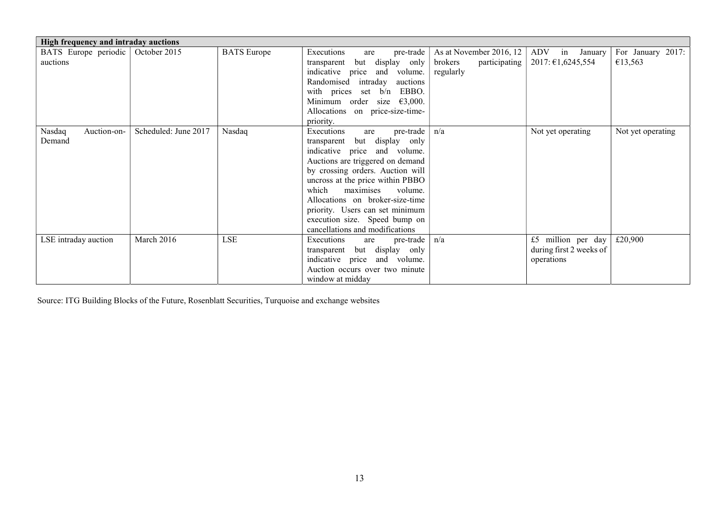| High frequency and intraday auctions |                      |                    |                                                                                                                                                                                                                                                                                                                                                                                         |                                                                  |                                                             |                              |
|--------------------------------------|----------------------|--------------------|-----------------------------------------------------------------------------------------------------------------------------------------------------------------------------------------------------------------------------------------------------------------------------------------------------------------------------------------------------------------------------------------|------------------------------------------------------------------|-------------------------------------------------------------|------------------------------|
| BATS Europe periodic  <br>auctions   | October 2015         | <b>BATS</b> Europe | Executions<br>pre-trade<br>are<br>but display only<br>transparent<br>indicative price and volume.<br>Randomised intraday auctions<br>with prices set $b/n$<br>EBBO.<br>Minimum order size $\epsilon$ 3,000.<br>Allocations on price-size-time-<br>priority.                                                                                                                             | As at November 2016, 12<br>brokers<br>participating<br>regularly | ADV in January<br>$2017: \text{\textsterling}1,6245,554$    | For January 2017:<br>€13,563 |
| Nasdaq<br>Auction-on-<br>Demand      | Scheduled: June 2017 | Nasdaq             | pre-trade  <br>Executions<br>are<br>transparent but display only<br>indicative price and volume.<br>Auctions are triggered on demand<br>by crossing orders. Auction will<br>uncross at the price within PBBO<br>maximises<br>which<br>volume.<br>Allocations on broker-size-time<br>priority. Users can set minimum<br>execution size. Speed bump on<br>cancellations and modifications | n/a                                                              | Not yet operating                                           | Not yet operating            |
| LSE intraday auction                 | March 2016           | <b>LSE</b>         | Executions<br>pre-trade $n/a$<br>are<br>transparent but display only<br>indicative price and volume.<br>Auction occurs over two minute<br>window at midday                                                                                                                                                                                                                              |                                                                  | £5 million per day<br>during first 2 weeks of<br>operations | £20,900                      |

Source: ITG Building Blocks of the Future, Rosenblatt Securities, Turquoise and exchange websites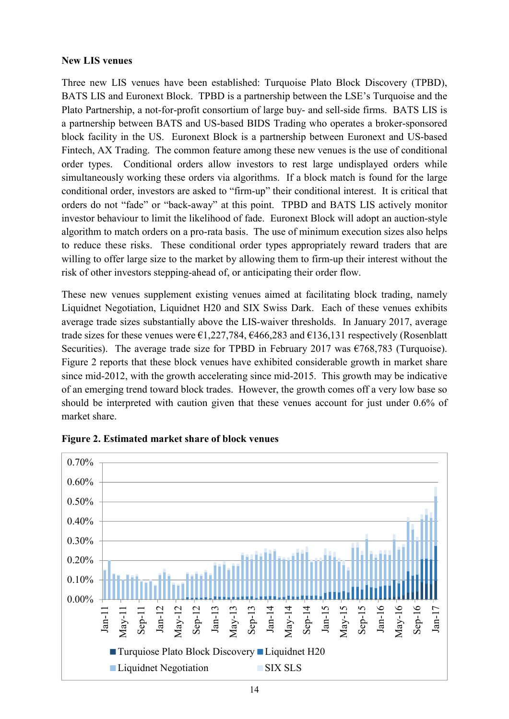#### New LIS venues

Three new LIS venues have been established: Turquoise Plato Block Discovery (TPBD), BATS LIS and Euronext Block. TPBD is a partnership between the LSE's Turquoise and the Plato Partnership, a not-for-profit consortium of large buy- and sell-side firms. BATS LIS is a partnership between BATS and US-based BIDS Trading who operates a broker-sponsored block facility in the US. Euronext Block is a partnership between Euronext and US-based Fintech, AX Trading. The common feature among these new venues is the use of conditional order types. Conditional orders allow investors to rest large undisplayed orders while simultaneously working these orders via algorithms. If a block match is found for the large conditional order, investors are asked to "firm-up" their conditional interest. It is critical that orders do not "fade" or "back-away" at this point. TPBD and BATS LIS actively monitor investor behaviour to limit the likelihood of fade. Euronext Block will adopt an auction-style algorithm to match orders on a pro-rata basis. The use of minimum execution sizes also helps to reduce these risks. These conditional order types appropriately reward traders that are willing to offer large size to the market by allowing them to firm-up their interest without the risk of other investors stepping-ahead of, or anticipating their order flow.

These new venues supplement existing venues aimed at facilitating block trading, namely Liquidnet Negotiation, Liquidnet H20 and SIX Swiss Dark. Each of these venues exhibits average trade sizes substantially above the LIS-waiver thresholds. In January 2017, average trade sizes for these venues were  $\epsilon$ 1,227,784,  $\epsilon$ 466,283 and  $\epsilon$ 136,131 respectively (Rosenblatt Securities). The average trade size for TPBD in February 2017 was  $\epsilon$ 768,783 (Turquoise). Figure 2 reports that these block venues have exhibited considerable growth in market share since mid-2012, with the growth accelerating since mid-2015. This growth may be indicative of an emerging trend toward block trades. However, the growth comes off a very low base so should be interpreted with caution given that these venues account for just under 0.6% of market share.



Figure 2. Estimated market share of block venues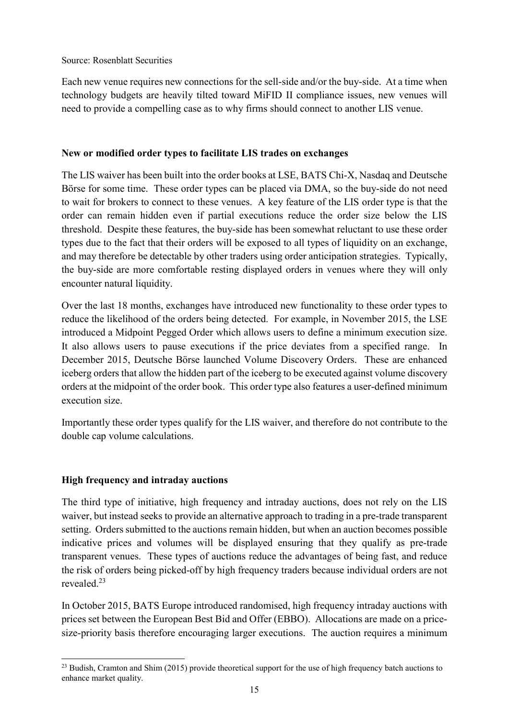Source: Rosenblatt Securities

Each new venue requires new connections for the sell-side and/or the buy-side. At a time when technology budgets are heavily tilted toward MiFID II compliance issues, new venues will need to provide a compelling case as to why firms should connect to another LIS venue.

#### New or modified order types to facilitate LIS trades on exchanges

The LIS waiver has been built into the order books at LSE, BATS Chi-X, Nasdaq and Deutsche Börse for some time. These order types can be placed via DMA, so the buy-side do not need to wait for brokers to connect to these venues. A key feature of the LIS order type is that the order can remain hidden even if partial executions reduce the order size below the LIS threshold. Despite these features, the buy-side has been somewhat reluctant to use these order types due to the fact that their orders will be exposed to all types of liquidity on an exchange, and may therefore be detectable by other traders using order anticipation strategies. Typically, the buy-side are more comfortable resting displayed orders in venues where they will only encounter natural liquidity.

Over the last 18 months, exchanges have introduced new functionality to these order types to reduce the likelihood of the orders being detected. For example, in November 2015, the LSE introduced a Midpoint Pegged Order which allows users to define a minimum execution size. It also allows users to pause executions if the price deviates from a specified range. In December 2015, Deutsche Börse launched Volume Discovery Orders. These are enhanced iceberg orders that allow the hidden part of the iceberg to be executed against volume discovery orders at the midpoint of the order book. This order type also features a user-defined minimum execution size.

Importantly these order types qualify for the LIS waiver, and therefore do not contribute to the double cap volume calculations.

#### High frequency and intraday auctions

The third type of initiative, high frequency and intraday auctions, does not rely on the LIS waiver, but instead seeks to provide an alternative approach to trading in a pre-trade transparent setting. Orders submitted to the auctions remain hidden, but when an auction becomes possible indicative prices and volumes will be displayed ensuring that they qualify as pre-trade transparent venues. These types of auctions reduce the advantages of being fast, and reduce the risk of orders being picked-off by high frequency traders because individual orders are not revealed.<sup>23</sup>

In October 2015, BATS Europe introduced randomised, high frequency intraday auctions with prices set between the European Best Bid and Offer (EBBO). Allocations are made on a pricesize-priority basis therefore encouraging larger executions. The auction requires a minimum

<sup>-</sup><sup>23</sup> Budish, Cramton and Shim (2015) provide theoretical support for the use of high frequency batch auctions to enhance market quality.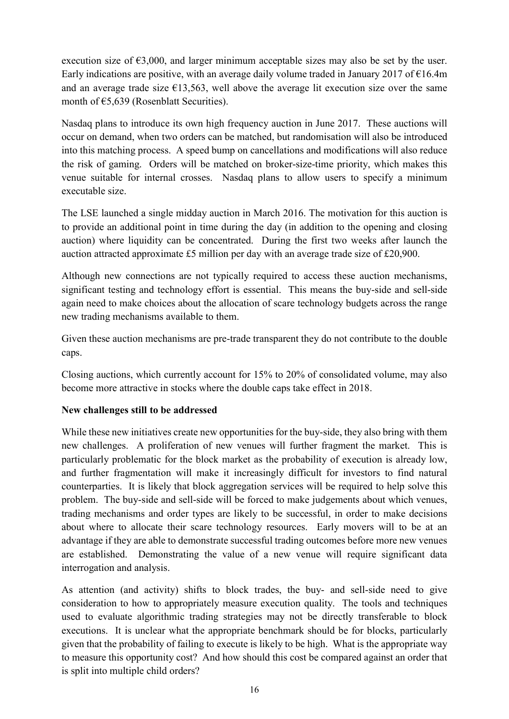execution size of  $\epsilon$ 3,000, and larger minimum acceptable sizes may also be set by the user. Early indications are positive, with an average daily volume traded in January 2017 of  $\epsilon$ 16.4m and an average trade size  $\epsilon$ 13,563, well above the average lit execution size over the same month of €5,639 (Rosenblatt Securities).

Nasdaq plans to introduce its own high frequency auction in June 2017. These auctions will occur on demand, when two orders can be matched, but randomisation will also be introduced into this matching process. A speed bump on cancellations and modifications will also reduce the risk of gaming. Orders will be matched on broker-size-time priority, which makes this venue suitable for internal crosses. Nasdaq plans to allow users to specify a minimum executable size.

The LSE launched a single midday auction in March 2016. The motivation for this auction is to provide an additional point in time during the day (in addition to the opening and closing auction) where liquidity can be concentrated. During the first two weeks after launch the auction attracted approximate £5 million per day with an average trade size of £20,900.

Although new connections are not typically required to access these auction mechanisms, significant testing and technology effort is essential. This means the buy-side and sell-side again need to make choices about the allocation of scare technology budgets across the range new trading mechanisms available to them.

Given these auction mechanisms are pre-trade transparent they do not contribute to the double caps.

Closing auctions, which currently account for 15% to 20% of consolidated volume, may also become more attractive in stocks where the double caps take effect in 2018.

#### New challenges still to be addressed

While these new initiatives create new opportunities for the buy-side, they also bring with them new challenges. A proliferation of new venues will further fragment the market. This is particularly problematic for the block market as the probability of execution is already low, and further fragmentation will make it increasingly difficult for investors to find natural counterparties. It is likely that block aggregation services will be required to help solve this problem. The buy-side and sell-side will be forced to make judgements about which venues, trading mechanisms and order types are likely to be successful, in order to make decisions about where to allocate their scare technology resources. Early movers will to be at an advantage if they are able to demonstrate successful trading outcomes before more new venues are established. Demonstrating the value of a new venue will require significant data interrogation and analysis.

As attention (and activity) shifts to block trades, the buy- and sell-side need to give consideration to how to appropriately measure execution quality. The tools and techniques used to evaluate algorithmic trading strategies may not be directly transferable to block executions. It is unclear what the appropriate benchmark should be for blocks, particularly given that the probability of failing to execute is likely to be high. What is the appropriate way to measure this opportunity cost? And how should this cost be compared against an order that is split into multiple child orders?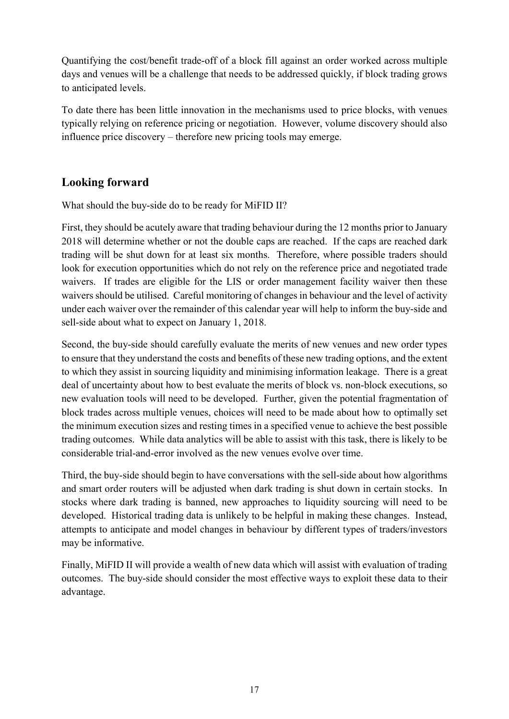Quantifying the cost/benefit trade-off of a block fill against an order worked across multiple days and venues will be a challenge that needs to be addressed quickly, if block trading grows to anticipated levels.

To date there has been little innovation in the mechanisms used to price blocks, with venues typically relying on reference pricing or negotiation. However, volume discovery should also influence price discovery – therefore new pricing tools may emerge.

## Looking forward

What should the buy-side do to be ready for MiFID II?

First, they should be acutely aware that trading behaviour during the 12 months prior to January 2018 will determine whether or not the double caps are reached. If the caps are reached dark trading will be shut down for at least six months. Therefore, where possible traders should look for execution opportunities which do not rely on the reference price and negotiated trade waivers. If trades are eligible for the LIS or order management facility waiver then these waivers should be utilised. Careful monitoring of changes in behaviour and the level of activity under each waiver over the remainder of this calendar year will help to inform the buy-side and sell-side about what to expect on January 1, 2018.

Second, the buy-side should carefully evaluate the merits of new venues and new order types to ensure that they understand the costs and benefits of these new trading options, and the extent to which they assist in sourcing liquidity and minimising information leakage. There is a great deal of uncertainty about how to best evaluate the merits of block vs. non-block executions, so new evaluation tools will need to be developed. Further, given the potential fragmentation of block trades across multiple venues, choices will need to be made about how to optimally set the minimum execution sizes and resting times in a specified venue to achieve the best possible trading outcomes. While data analytics will be able to assist with this task, there is likely to be considerable trial-and-error involved as the new venues evolve over time.

Third, the buy-side should begin to have conversations with the sell-side about how algorithms and smart order routers will be adjusted when dark trading is shut down in certain stocks. In stocks where dark trading is banned, new approaches to liquidity sourcing will need to be developed. Historical trading data is unlikely to be helpful in making these changes. Instead, attempts to anticipate and model changes in behaviour by different types of traders/investors may be informative.

Finally, MiFID II will provide a wealth of new data which will assist with evaluation of trading outcomes. The buy-side should consider the most effective ways to exploit these data to their advantage.